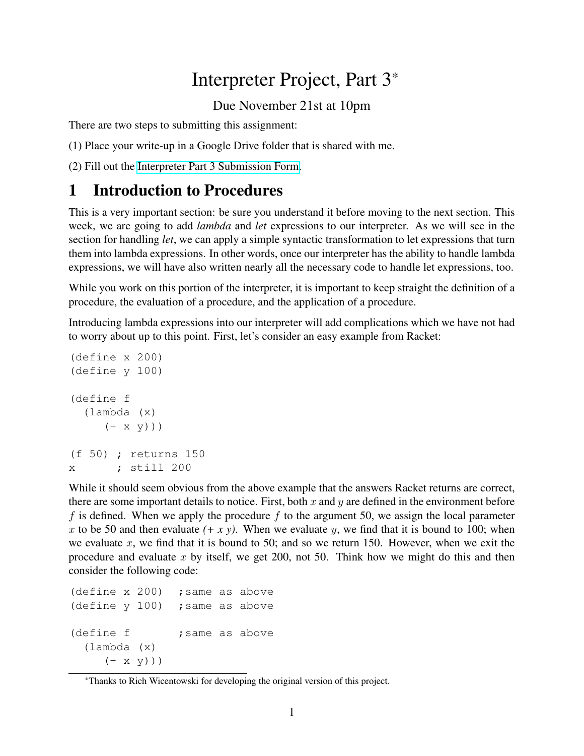# Interpreter Project, Part 3\*

Due November 21st at 10pm

There are two steps to submitting this assignment:

(1) Place your write-up in a Google Drive folder that is shared with me.

(2) Fill out the [Interpreter Part 3 Submission Form.](https://forms.gle/zojKjCePsbtkZWHd9)

## 1 Introduction to Procedures

This is a very important section: be sure you understand it before moving to the next section. This week, we are going to add *lambda* and *let* expressions to our interpreter. As we will see in the section for handling *let*, we can apply a simple syntactic transformation to let expressions that turn them into lambda expressions. In other words, once our interpreter has the ability to handle lambda expressions, we will have also written nearly all the necessary code to handle let expressions, too.

While you work on this portion of the interpreter, it is important to keep straight the definition of a procedure, the evaluation of a procedure, and the application of a procedure.

Introducing lambda expressions into our interpreter will add complications which we have not had to worry about up to this point. First, let's consider an easy example from Racket:

```
(define x 200)
(define y 100)
(define f
  (lambda (x)
     (+ x y))(f 50) ; returns 150
x ; still 200
```
While it should seem obvious from the above example that the answers Racket returns are correct, there are some important details to notice. First, both  $x$  and  $y$  are defined in the environment before f is defined. When we apply the procedure f to the argument 50, we assign the local parameter x to be 50 and then evaluate  $(+ x y)$ . When we evaluate y, we find that it is bound to 100; when we evaluate x, we find that it is bound to 50; and so we return 150. However, when we exit the procedure and evaluate x by itself, we get 200, not 50. Think how we might do this and then consider the following code:

```
(define x 200) ; same as above
(define v 100) ; same as above
(define f \qquad ; same as above
  (lambda (x)
     (+ x y))
```
<sup>\*</sup>Thanks to Rich Wicentowski for developing the original version of this project.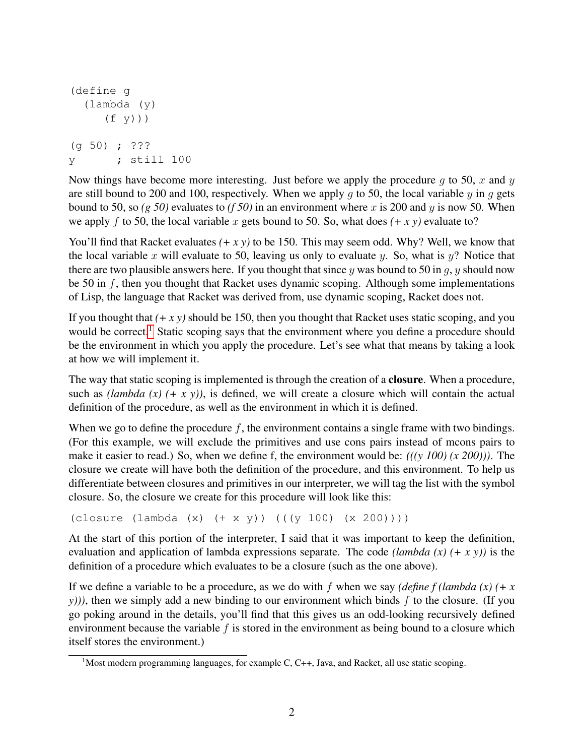```
(define g
  (lambda (y)
     (f y))(g 50) ; ???
y ; still 100
```
Now things have become more interesting. Just before we apply the procedure q to 50, x and y are still bound to 200 and 100, respectively. When we apply q to 50, the local variable y in q gets bound to 50, so  $(g 50)$  evaluates to  $(f 50)$  in an environment where x is 200 and y is now 50. When we apply f to 50, the local variable x gets bound to 50. So, what does  $(+ x y)$  evaluate to?

You'll find that Racket evaluates  $(+ x y)$  to be 150. This may seem odd. Why? Well, we know that the local variable x will evaluate to 50, leaving us only to evaluate y. So, what is  $y$ ? Notice that there are two plausible answers here. If you thought that since y was bound to 50 in q, y should now be 50 in  $f$ , then you thought that Racket uses dynamic scoping. Although some implementations of Lisp, the language that Racket was derived from, use dynamic scoping, Racket does not.

If you thought that *(+ x y)* should be 150, then you thought that Racket uses static scoping, and you would be correct.<sup>[1](#page-1-0)</sup> Static scoping says that the environment where you define a procedure should be the environment in which you apply the procedure. Let's see what that means by taking a look at how we will implement it.

The way that static scoping is implemented is through the creation of a closure. When a procedure, such as *(lambda (x) (+ x y))*, is defined, we will create a closure which will contain the actual definition of the procedure, as well as the environment in which it is defined.

When we go to define the procedure  $f$ , the environment contains a single frame with two bindings. (For this example, we will exclude the primitives and use cons pairs instead of mcons pairs to make it easier to read.) So, when we define f, the environment would be: *(((y 100) (x 200)))*. The closure we create will have both the definition of the procedure, and this environment. To help us differentiate between closures and primitives in our interpreter, we will tag the list with the symbol closure. So, the closure we create for this procedure will look like this:

```
(closure (lambda (x) (+ x y)) (( (y 100) (x 200))))
```
At the start of this portion of the interpreter, I said that it was important to keep the definition, evaluation and application of lambda expressions separate. The code *(lambda (x) (+ x y))* is the definition of a procedure which evaluates to be a closure (such as the one above).

If we define a variable to be a procedure, as we do with f when we say *(define f (lambda (x) (+ x*  $y$ ))), then we simply add a new binding to our environment which binds f to the closure. (If you go poking around in the details, you'll find that this gives us an odd-looking recursively defined environment because the variable  $f$  is stored in the environment as being bound to a closure which itself stores the environment.)

<span id="page-1-0"></span><sup>&</sup>lt;sup>1</sup>Most modern programming languages, for example C, C++, Java, and Racket, all use static scoping.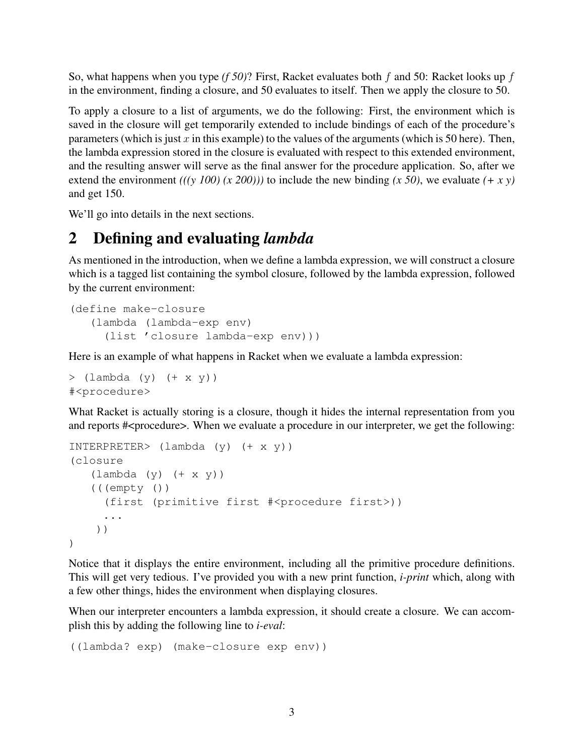So, what happens when you type *(f 50)*? First, Racket evaluates both f and 50: Racket looks up f in the environment, finding a closure, and 50 evaluates to itself. Then we apply the closure to 50.

To apply a closure to a list of arguments, we do the following: First, the environment which is saved in the closure will get temporarily extended to include bindings of each of the procedure's parameters (which is just x in this example) to the values of the arguments (which is 50 here). Then, the lambda expression stored in the closure is evaluated with respect to this extended environment, and the resulting answer will serve as the final answer for the procedure application. So, after we extend the environment  $((y 100) (x 200))$  to include the new binding  $(x 50)$ , we evaluate  $(+ x y)$ and get 150.

We'll go into details in the next sections.

#### 2 Defining and evaluating *lambda*

As mentioned in the introduction, when we define a lambda expression, we will construct a closure which is a tagged list containing the symbol closure, followed by the lambda expression, followed by the current environment:

```
(define make-closure
   (lambda (lambda-exp env)
     (list 'closure lambda-exp env)))
```
Here is an example of what happens in Racket when we evaluate a lambda expression:

```
> (lambda (y) (+ x y))
#<procedure>
```
What Racket is actually storing is a closure, though it hides the internal representation from you and reports #<procedure>. When we evaluate a procedure in our interpreter, we get the following:

```
INTERPRETER> (lambda (y) (+ x y))
(closure
   (lambda (y) (+ x y))(((empty ())
     (first (primitive first #<procedure first>))
     ...
    ))
)
```
Notice that it displays the entire environment, including all the primitive procedure definitions. This will get very tedious. I've provided you with a new print function, *i-print* which, along with a few other things, hides the environment when displaying closures.

When our interpreter encounters a lambda expression, it should create a closure. We can accomplish this by adding the following line to *i-eval*:

((lambda? exp) (make-closure exp env))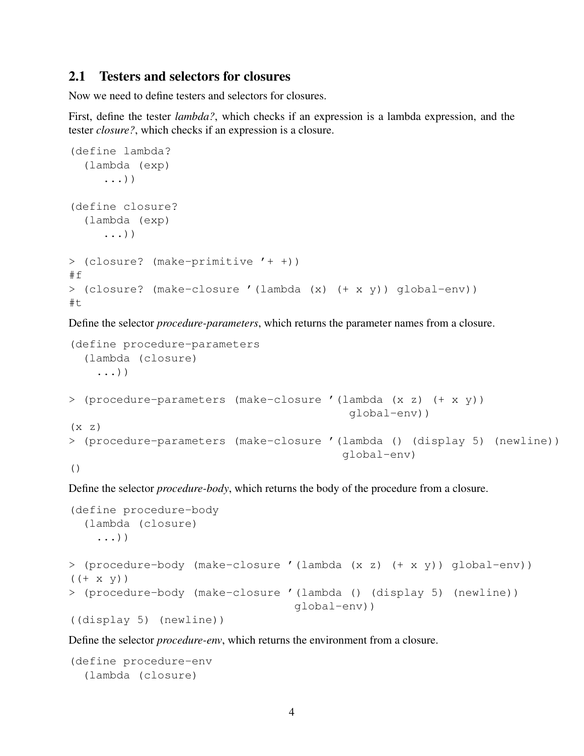#### 2.1 Testers and selectors for closures

Now we need to define testers and selectors for closures.

First, define the tester *lambda?*, which checks if an expression is a lambda expression, and the tester *closure?*, which checks if an expression is a closure.

```
(define lambda?
  (lambda (exp)
     ...))
(define closure?
  (lambda (exp)
     ...))
> (closure? (make-primitive '+ +))
#f> (closure? (make-closure '(lambda (x) (+ x y)) global-env))
#t
```
Define the selector *procedure-parameters*, which returns the parameter names from a closure.

```
(define procedure-parameters
  (lambda (closure)
    ...))
> (procedure-parameters (make-closure '(lambda (x z) (+ x y))
                                          global-env))
(x z)> (procedure-parameters (make-closure '(lambda () (display 5) (newline))
                                         global-env)
()
```
Define the selector *procedure-body*, which returns the body of the procedure from a closure.

```
(define procedure-body
  (lambda (closure)
    ...))
> (procedure-body (make-closure '(lambda (x z) (+ x y)) global-env))
((+ x y))> (procedure-body (make-closure '(lambda () (display 5) (newline))
                                  global-env))
((display 5) (newline))
```
Define the selector *procedure-env*, which returns the environment from a closure.

```
(define procedure-env
  (lambda (closure)
```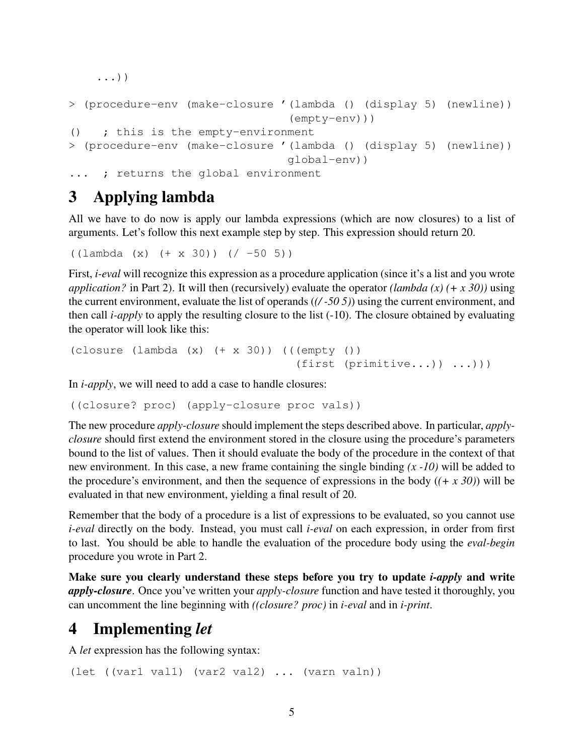```
...))
```

```
> (procedure-env (make-closure '(lambda () (display 5) (newline))
                                (empty-env)))
() ; this is the empty-environment
> (procedure-env (make-closure '(lambda () (display 5) (newline))
                                global-env))
... ; returns the global environment
```
# 3 Applying lambda

All we have to do now is apply our lambda expressions (which are now closures) to a list of arguments. Let's follow this next example step by step. This expression should return 20.

 $((\text{lambda} (x) (+ x 30)) ((-50 5))$ 

First, *i-eval* will recognize this expression as a procedure application (since it's a list and you wrote *application?* in Part 2). It will then (recursively) evaluate the operator *(lambda (x) (+ x 30))* using the current environment, evaluate the list of operands (*(/ -50 5)*) using the current environment, and then call *i-apply* to apply the resulting closure to the list (-10). The closure obtained by evaluating the operator will look like this:

```
(closure (lambda (x) (+ x 30)) (((empty ())
                                  (first (primitive...)) ...)))
```
In *i-apply*, we will need to add a case to handle closures:

```
((closure? proc) (apply-closure proc vals))
```
The new procedure *apply-closure* should implement the steps described above. In particular, *applyclosure* should first extend the environment stored in the closure using the procedure's parameters bound to the list of values. Then it should evaluate the body of the procedure in the context of that new environment. In this case, a new frame containing the single binding *(x -10)* will be added to the procedure's environment, and then the sequence of expressions in the body  $((+ x 30))$  will be evaluated in that new environment, yielding a final result of 20.

Remember that the body of a procedure is a list of expressions to be evaluated, so you cannot use *i-eval* directly on the body. Instead, you must call *i-eval* on each expression, in order from first to last. You should be able to handle the evaluation of the procedure body using the *eval-begin* procedure you wrote in Part 2.

Make sure you clearly understand these steps before you try to update *i-apply* and write *apply-closure*. Once you've written your *apply-closure* function and have tested it thoroughly, you can uncomment the line beginning with *((closure? proc)* in *i-eval* and in *i-print*.

### 4 Implementing *let*

A *let* expression has the following syntax:

(let ((var1 val1) (var2 val2) ... (varn valn))